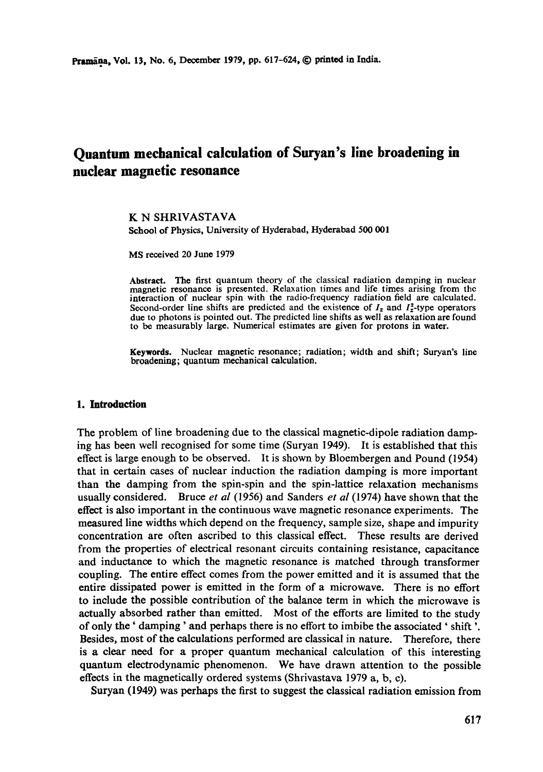# **Quantum mechanical calculation of Suryan's line broadening in nuclear magnetic resonance**

K N SHRIVASTAVA School of Physics, University of Hyderabad, Hyderabad 500 001

MS received 20 June 1979

Abstract. The first quantum theory of the classical radiation damping in nuclear magnetic resonance is presented. Relaxation times and life times arising from the interaction of nuclear spin with the radio-frequency radiation field are calculated. Second-order line shifts are predicted and the existence of  $I_z$  and  $I_z^2$ -type operators due to photons is pointed out. The predicted line shifts as well as relaxation are found to be measurably large. Numerical estimates are given for protons in water.

**Keywords.** Nuclear magnetic resonance; radiation; width and shift; Suryan's line broadening; quantum mechanical calculation.

#### **1. Introduction**

The problem of line broadening due to the classical magnetic-dipole radiation damping has been well recognised for some time (Suryan 1949). It is established that this effect is large enough to be observed. It is shown by Bloembergen and Pound (1954) that in certain cases of nuclear induction the radiation damping is more important than the damping from the spin-spin and the spin-lattice relaxation mechanisms usually considered. Bruce *et al* (1956) and Sanders *et al* (1974) have shown that the effect is also important in the continuous wave magnetic resonance experiments. The measured line widths which depend on the frequency, sample size, shape and impurity concentration are often ascribed to this classical effect. These results are derived from the properties of electrical resonant circuits containing resistance, capacitance and inductance to which the magnetic resonance is matched through transformer coupling. The entire effect comes from the power emitted and it is assumed that the entire dissipated power is emitted in the form of a microwave. There is no effort to include the possible contribution of the balance term in which the microwave is actually absorbed rather than emitted. Most of the efforts are limited to the study of only the' damping' and perhaps there is no effort to imbibe the associated ' shift '. Besides, most of the calculations performed are classical in nature. Therefore, there is a clear need for a proper quantum mechanical calculation of this interesting quantum electrodynamic phenomenon. We have drawn attention to the possible effects in the magnetically ordered systems (Shrivastava 1979 a, b, c).

Suryan (1949) was perhaps the first to suggest the classical radiation emission from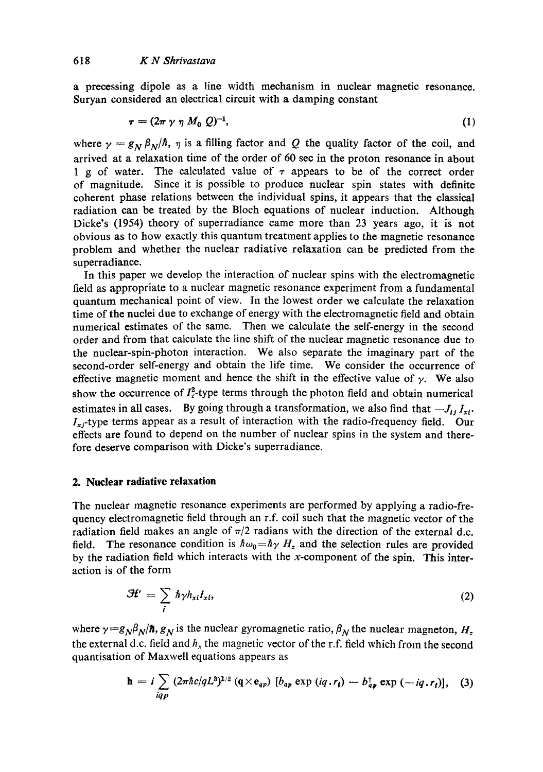a precessing dipole as a line width mechanism in nuclear magnetic resonance. Suryan considered an electrical circuit with a damping constant

$$
\tau = (2\pi \gamma \eta M_0 Q)^{-1},\tag{1}
$$

where  $\gamma = g_N \beta_N/\hbar$ ,  $\eta$  is a filling factor and Q the quality factor of the coil, and arrived at a relaxation time of the order of 60 sec in the proton resonance in about 1 g of water. The calculated value of  $\tau$  appears to be of the correct order of magnitude. Since it is possible to produce nuclear spin states with definite coherent phase relations between the individual spins, it appears that the classical radiation can be treated by the Bloch equations of nuclear induction. Although Dicke's (1954) theory of superradiance came more than 23 years ago, it is not obvious as to how exactly this quantum treatment applies to the magnetic resonance problem and whether the nuclear radiative relaxation can be predicted from the superradiance.

In this paper we develop the interaction of nuclear spins with the electromagnetic field as appropriate to a nuclear magnetic resonance experiment from a fundamental quantum mechanical point of view. In the lowest order we calculate the relaxation time of the nuclei due to exchange of energy with the electromagnetic field and obtain numerical estimates of the same. Then we calculate the self-energy in the second order and from that calculate the line shift of the nuclear magnetic resonance due to the nuclear-spin-photon interaction. We also separate the imaginary part of the second-order self-energy and obtain the life time. We consider the occurrence of effective magnetic moment and hence the shift in the effective value of  $\gamma$ . We also show the occurrence of  $I_z^2$ -type terms through the photon field and obtain numerical estimates in all cases. By going through a transformation, we also find that  $-J_{ij} I_{xi}$ .  $I_{x,i}$ -type terms appear as a result of interaction with the radio-frequency field. Our effects are found to depend on the number of nuclear spins in the system and therefore deserve comparison with Dicke's superradiance.

#### **2. Nuclear radiative relaxation**

The nuclear magnetic resonance experiments are performed by applying a radio-frequency electromagnetic field through an r.f. coil such that the magnetic vector of **the**  radiation field makes an angle of  $\pi/2$  radians with the direction of the external d.c. field. The resonance condition is  $\hbar \omega_0 = \hbar \gamma H_z$  and the selection rules are provided by the radiation field which interacts with the x-component of the spin. This interaction is of the form

$$
\mathcal{H}' = \sum_{i} \hbar \gamma h_{xi} I_{xi}, \qquad (2)
$$

where  $\gamma = g_N \beta_N / \hbar$ ,  $g_N$  is the nuclear gyromagnetic ratio,  $\beta_N$  the nuclear magneton,  $H_z$ . the external d.c. field and  $h_x$  the magnetic vector of the r.f. field which from the second quantisation of Maxwell equations appears as

$$
\mathbf{h} = i \sum_{iqp} (2\pi \hbar c/qL^3)^{1/2} (\mathbf{q} \times \mathbf{e}_{qp}) [b_{qp} \exp(iq \cdot r_i) - b_{qp}^\dagger \exp(-iq \cdot r_i)], \quad (3)
$$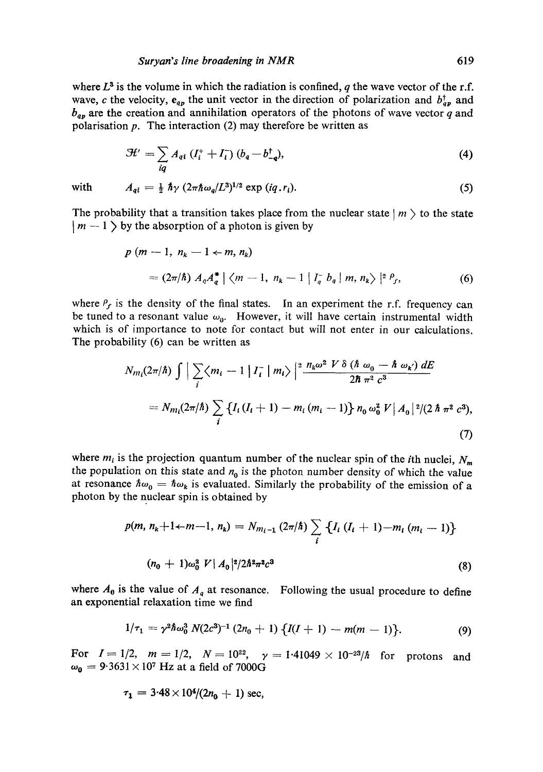where  $L^3$  is the volume in which the radiation is confined, q the wave vector of the r.f. wave, c the velocity,  $e_{q_p}$  the unit vector in the direction of polarization and  $b^{\dagger}_{q_p}$  and  $b_{q_p}$  are the creation and annihilation operators of the photons of wave vector q and polarisation  $p$ . The interaction (2) may therefore be written as

$$
\mathcal{H}' = \sum_{iq} A_{qi} \left( I_i^+ + I_i^- \right) (b_q - b_{-q}^\dagger), \tag{4}
$$

with  $A_{qi} = \frac{1}{2} \hbar \gamma (2\pi \hbar \omega_q / L^3)^{1/2} \exp(iq r_i).$  (5)

The probability that a transition takes place from the nuclear state  $|m\rangle$  to the state  $\mid m-1 \rangle$  by the absorption of a photon is given by

$$
p (m - 1, nk - 1 \leftarrow m, nk)
$$
  
=  $(2\pi/\hbar) A_{q} A_{q}^{*} | \langle m - 1, n_{k} - 1 | I_{q}^{-} b_{q} | m, n_{k} \rangle |^{2} P_{f},$  (6)

where  $P_f$  is the density of the final states. In an experiment the r.f. frequency can be tuned to a resonant value  $\omega_0$ . However, it will have certain instrumental width which is of importance to note for contact but will not enter in our calculations. The probability (6) can be written as

$$
N_{m_l}(2\pi/\hbar) \int \Big| \sum_i \langle m_i - 1 | I_i^- | m_i \rangle \Big|^2 \frac{n_k \omega^2 V \delta (\hbar \omega_0 - \hbar \omega_0) dE}{2\hbar \pi^2 c^3}
$$
  
=  $N_{m_l}(2\pi/\hbar) \sum_i \{I_i (I_i + 1) - m_i (m_i - 1)\} n_0 \omega_0^2 V | A_0|^2 / (2\hbar \pi^2 c^3),$  (7)

where  $m_i$  is the projection quantum number of the nuclear spin of the *i*th nuclei,  $N_m$ the population on this state and  $n_0$  is the photon number density of which the value at resonance  $\hbar\omega_0 = \hbar\omega_k$  is evaluated. Similarly the probability of the emission of a photon by the nuclear spin is obtained by

$$
p(m, n_k+1+m-1, n_k) = N_{m_{i-1}} (2\pi/\hbar) \sum_{i} \{I_i (I_i+1)-m_i (m_i-1)\}
$$
  

$$
(n_0+1)\omega_0^2 V |A_0|^2/2\hbar^2 \pi^2 c^3
$$
 (8)

where  $A_0$  is the value of  $A_q$  at resonance. Following the usual procedure to define an exponential relaxation time we find

$$
1/\tau_1 = \gamma^2 \hbar \omega_0^3 N(2c^3)^{-1} (2n_0 + 1) \{I(I+1) - m(m-1)\}.
$$
 (9)

For  $I = 1/2$ ,  $m = 1/2$ ,  $N = 10^{22}$ ,  $\gamma = 1.41049 \times 10^{-23}/\hbar$  for protons and  $\omega_0 = 9.3631 \times 10^7$  Hz at a field of 7000G

$$
\tau_1 = 3.48 \times 10^4/(2n_0 + 1) \text{ sec},
$$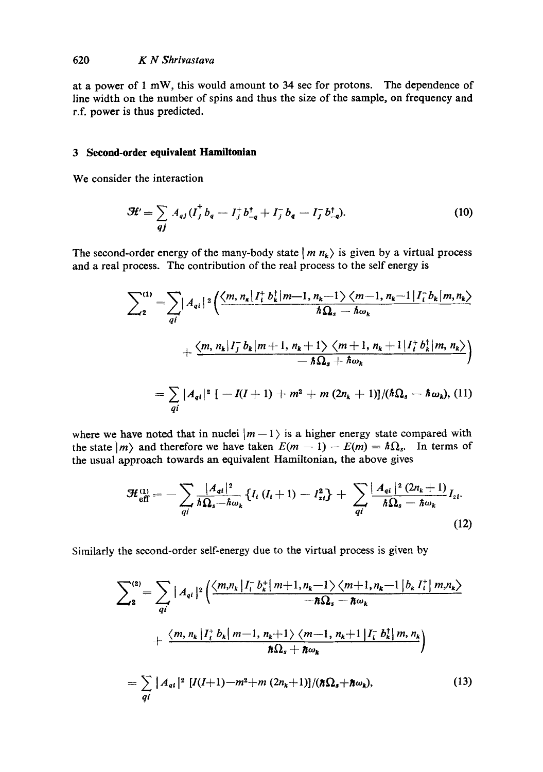## 620 *K N Shrivastava*

at a power of 1 mW, this would amount to 34 sec for protons. The dependence of line width on the number of spins and thus the size of the sample, on frequency and r.f. power is thus predicted.

# **3 Second-order equivalent Hamiltonian**

We consider the interaction

$$
\mathcal{H}' = \sum_{qj} A_{qj} (I_j^{\dagger} b_q - I_j^{\dagger} b_{-q}^{\dagger} + I_j^{\dagger} b_q - I_j^{\dagger} b_{-q}^{\dagger}). \tag{10}
$$

The second-order energy of the many-body state  $\vert m n_{k} \rangle$  is given by a virtual process and a real process. The contribution of the real process to the self energy is

$$
\sum_{2}^{(1)} = \sum_{qi} |A_{qi}|^{2} \Big( \frac{\langle m, n_{k} | I_{i}^{+} b_{k}^{+} | m-1, n_{k}-1 \rangle \langle m-1, n_{k}-1 | I_{i}^{-} b_{k} | m, n_{k} \rangle}{\hbar \Omega_{s} - \hbar \omega_{k}} + \frac{\langle m, n_{k} | I_{j}^{-} b_{k} | m+1, n_{k}+1 \rangle \langle m+1, n_{k}+1 | I_{i}^{+} b_{k}^{+} | m, n_{k} \rangle}{-\hbar \Omega_{s} + \hbar \omega_{k}} \Big)
$$

$$
= \sum_{qi} |A_{qi}|^{2} [-I(I+1) + m^{2} + m (2n_{k} + 1)]/(\hbar \Omega_{s} - \hbar \omega_{k}), (11)
$$

where we have noted that in nuclei  $|m-1\rangle$  is a higher energy state compared with the state  $|m\rangle$  and therefore we have taken  $E(m - 1) - E(m) = \hbar \Omega_s$ . In terms of the usual approach towards an equivalent Hamiltonian, the above gives

$$
\mathcal{H}_{\text{eff}}^{(1)} = -\sum_{qi} \frac{|A_{qi}|^2}{\hbar \Omega_s - \hbar \omega_k} \{ I_i (I_i + 1) - I_{zi}^2 \} + \sum_{qi} \frac{|A_{qi}|^2 (2n_k + 1)}{\hbar \Omega_s - \hbar \omega_k} I_{zi}.
$$
\n(12)

Similarly the second-order self-energy due to the virtual process is given by

$$
\sum_{2}^{(2)} = \sum_{qi} |A_{qi}|^2 \left( \frac{\langle m, n_k | I_l^- b_k^+ | m+1, n_k-1 \rangle \langle m+1, n_k-1 | b_k I_l^+ | m, n_k \rangle}{-\hbar \Omega_s - \hbar \omega_k} + \frac{\langle m, n_k | I_l^+ b_k | m-1, n_k+1 \rangle \langle m-1, n_k+1 | I_l^- b_k^+ | m, n_k \rangle}{\hbar \Omega_s + \hbar \omega_k} \right)
$$
  
= 
$$
\sum_{qi} |A_{qi}|^2 [I(I+1) - m^2 + m (2n_k+1)] / (\hbar \Omega_s + \hbar \omega_k), \qquad (13)
$$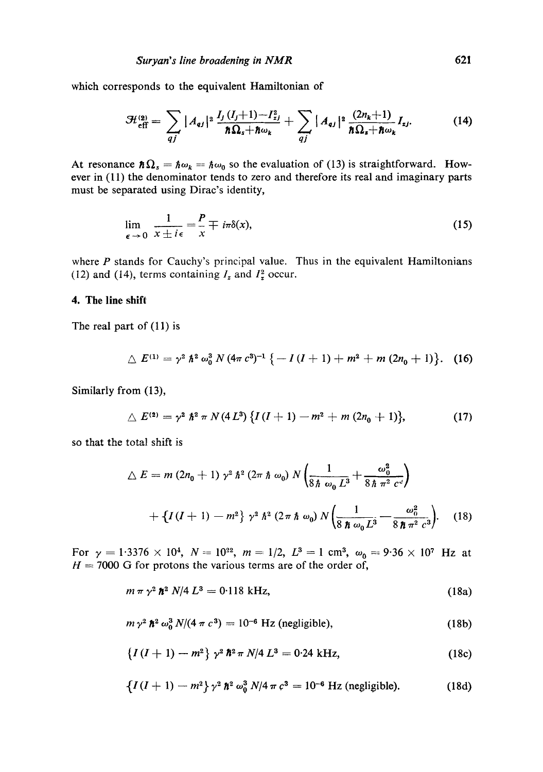which corresponds to the equivalent Hamiltonian of

$$
\mathcal{H}_{\text{eff}}^{(2)} = \sum_{qj} |A_{qj}|^2 \frac{I_j (I_j + 1) - I_{zj}^2}{\hbar \Omega_s + \hbar \omega_k} + \sum_{qj} |A_{qj}|^2 \frac{(2n_k + 1)}{\hbar \Omega_s + \hbar \omega_k} I_{zj}.
$$
 (14)

At resonance  $\hbar\Omega_s = \hbar\omega_k = \hbar\omega_0$  so the evaluation of (13) is straightforward. However in (11) the denominator tends to zero and therefore its real and imaginary parts must be separated using Dirac's identity,

$$
\lim_{\epsilon \to 0} \frac{1}{x \pm i\epsilon} = \frac{P}{x} \mp i\pi \delta(x),\tag{15}
$$

where  $P$  stands for Cauchy's principal value. Thus in the equivalent Hamiltonians (12) and (14), terms containing  $I_z$  and  $I_z^2$  occur.

## 4. The line shift

The real part of (11) is

$$
\triangle E^{(1)} = \gamma^2 \hbar^2 \omega_0^3 N (4\pi c^3)^{-1} \{-I (I+1) + m^2 + m (2n_0 + 1)\}.
$$
 (16)

Similarly from (13),

$$
\triangle E^{(2)} = \gamma^2 \hbar^2 \pi N (4L^3) \{ I(I+1) - m^2 + m (2n_0 + 1) \}, \tag{17}
$$

so that the total shift is

$$
\Delta E = m (2n_0 + 1) \gamma^2 \hbar^2 (2\pi \hbar \omega_0) N \left( \frac{1}{8 \hbar \omega_0 L^3} + \frac{\omega_0^2}{8 \hbar \pi^2 c^3} \right)
$$
  
+ 
$$
\left\{ I (I + 1) - m^2 \right\} \gamma^2 \hbar^2 (2\pi \hbar \omega_0) N \left( \frac{1}{8 \hbar \omega_0 L^3} - \frac{\omega_0^2}{8 \hbar \pi^2 c^3} \right).
$$
 (18)

For  $\gamma = 1.3376 \times 10^4$ ,  $N = 10^{22}$ ,  $m = 1/2$ ,  $L^3 = 1$  cm<sup>3</sup>,  $\omega_0 = 9.36 \times 10^7$  Hz at  $H = 7000$  G for protons the various terms are of the order of,

$$
m \pi \gamma^2 \hbar^2 N/4 L^3 = 0.118 \text{ kHz}, \qquad (18a)
$$

$$
m\,\gamma^2\,\hbar^2\,\omega_0^3\,N/(4\,\pi\,c^3)=10^{-6}\,\mathrm{Hz}\,\mathrm{(negligible)},\qquad\qquad(18b)
$$

$$
\{I (I + 1) - m^2\} \gamma^2 \hbar^2 \pi N/4 L^3 = 0.24 \text{ kHz}, \qquad (18c)
$$

$$
\{I(I+1)-m^2\}\gamma^2\,\hbar^2\,\omega_0^3\,N/4\,\pi\,c^3=10^{-6}\,\mathrm{Hz}\,\mathrm{(negligible)}.\tag{18d}
$$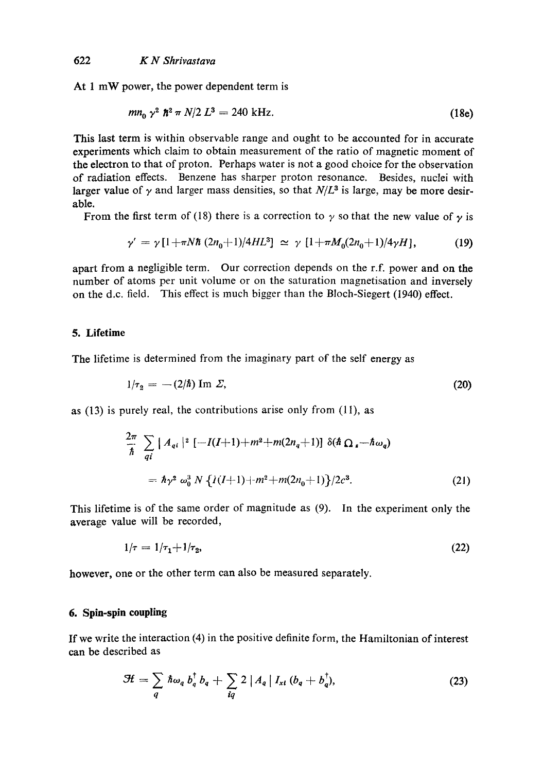At 1 mW power, the power dependent term is

$$
mn_0 \gamma^2 \hbar^2 \pi N/2 L^3 = 240 \text{ kHz.}
$$
 (18e)

This last term is within observable range and ought to be accounted for in accurate experiments which claim to obtain measurement of the ratio of magnetic moment of the electron to that of proton. Perhaps water is not a good choice for the observation of radiation effects. Benzene has sharper proton resonance. Besides, nuclei with larger value of  $\gamma$  and larger mass densities, so that  $N/L^3$  is large, may be more desirable.

From the first term of (18) there is a correction to  $\gamma$  so that the new value of  $\gamma$  is

$$
\gamma' = \gamma \left[1 + \pi N \hbar \left(2n_0 + 1\right) / 4HL^3\right] \simeq \gamma \left[1 + \pi M_0 (2n_0 + 1) / 4 \gamma H\right],\tag{19}
$$

apart from a negligible term. Our correction depends on the r.f. power and on the number of atoms per unit volume or on the saturation magnetisation and inversely on the d.c. field. This effect is much bigger than the Bloch-Siegert (1940) effect.

#### **5. Lifetime**

The lifetime is determined from the imaginary part of the self energy as

$$
1/\tau_2 = -(2/\hbar) \operatorname{Im} \Sigma, \tag{20}
$$

as (13) is purely real, the contributions arise only from (11), as

$$
\frac{2\pi}{\hbar} \sum_{q_i} |A_{qi}|^2 [-I(I+1) + m^2 + m(2n_q + 1)] \delta(\hbar \Omega_s - \hbar \omega_q)
$$
  
=  $\hbar \gamma^2 \omega_0^3 N \{ I(I+1) + m^2 + m(2n_q + 1) \} / 2c^3.$  (21)

This lifetime is of the same order of magnitude as (9). In the experiment only the average value will be recorded,

$$
1/\tau = 1/\tau_1 + 1/\tau_2,\tag{22}
$$

however, one or the other term can also be measured separately.

# **6. Spin-spin coupling**

If we write the interaction (4) in the positive definite form, the Hamiltonian of interest can be described as

$$
\mathcal{H} = \sum_{q} \hbar \omega_{q} b_{q}^{\dagger} b_{q} + \sum_{iq} 2 \left| A_{q} \right| I_{x1} \left( b_{q} + b_{q}^{\dagger} \right), \tag{23}
$$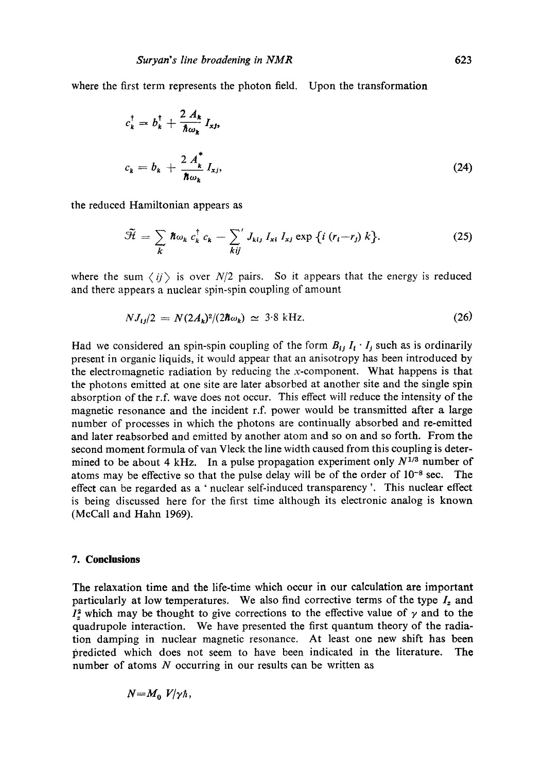where the first term represents the photon field. Upon the transformation

$$
c_k^{\dagger} = b_k^{\dagger} + \frac{2 A_k}{\hbar \omega_k} I_{xj},
$$
  

$$
c_k = b_k + \frac{2 A_k^*}{\hbar \omega_k} I_{xj},
$$
 (24)

the reduced Hamiltonian appears as

$$
\widetilde{\mathcal{H}} = \sum_{k} \hbar \omega_k c_k^{\dagger} c_k - \sum_{kij}^{\prime} J_{kij} I_{xi} I_{xj} \exp \left\{ i (r_i - r_j) k \right\}.
$$
 (25)

where the sum  $\langle ij \rangle$  is over  $N/2$  pairs. So it appears that the energy is reduced and there appears a nuclear spin-spin coupling of amount

$$
NJ_{ij}/2 = N(2A_k)^2/(2\hbar\omega_k) \simeq 3.8 \text{ kHz.}
$$
 (26)

Had we considered an spin-spin coupling of the form  $B_{ij} I_t \cdot I_j$  such as is ordinarily present in organic liquids, it would appear that an anisotropy has been introduced by the electromagnetic radiation by reducing the x-component. What happens is that the photons emitted at one site are later absorbed at another site and the single spin absorption of the r.f. wave does not occur. This effect will reduce the intensity of the magnetic resonance and the incident r.f. power would be transmitted after a large number of processes in which the photons are continually absorbed and re-emitted and later reabsorbed and emitted by another atom and so on and so forth. From the second moment formula of van Vleck the line width caused from this coupling is determined to be about 4 kHz. In a pulse propagation experiment only  $N^{1/3}$  number of atoms may be effective so that the pulse delay will be of the order of  $10^{-8}$  sec. The effect can be regarded as a ' nuclear self-induced transparency '. This nuclear effect is being discussed here for the first time although its electronic analog is known (McCall and Hahn 1969).

## **7. Conclusions**

The relaxation time and the life-time which occur in our calculation are important particularly at low temperatures. We also find corrective terms of the type  $I_z$  and  $I_z^2$  which may be thought to give corrections to the effective value of  $\gamma$  and to the quadrupole interaction. We have presented the first quantum theory of the radiation damping in nuclear magnetic resonance. At least one new shift has been predicted which does not seem to have been indicated in the literature. The number of atoms N occurring in our results can be written as

$$
N = M_0 V/\gamma \hbar,
$$